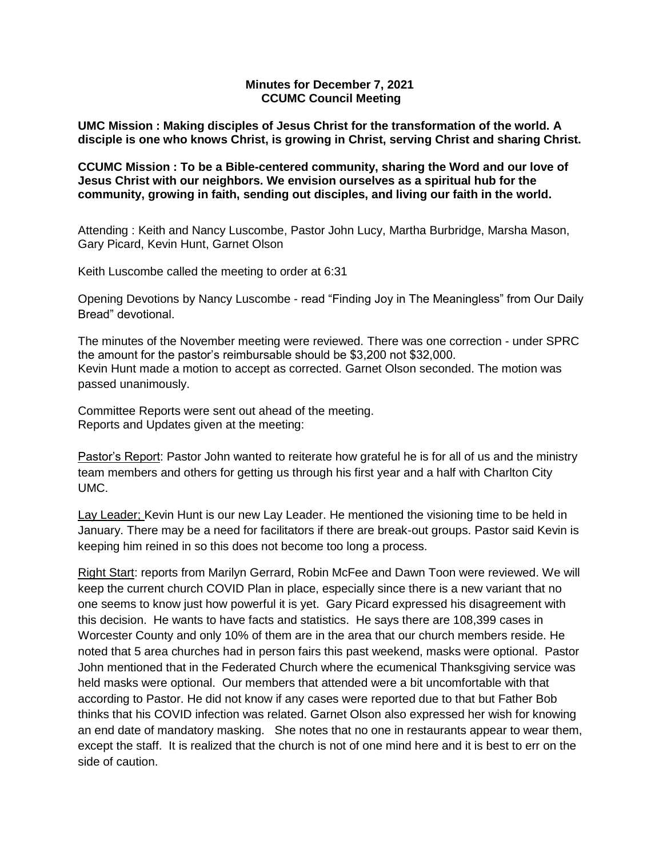### **Minutes for December 7, 2021 CCUMC Council Meeting**

**UMC Mission : Making disciples of Jesus Christ for the transformation of the world. A disciple is one who knows Christ, is growing in Christ, serving Christ and sharing Christ.**

**CCUMC Mission : To be a Bible-centered community, sharing the Word and our love of Jesus Christ with our neighbors. We envision ourselves as a spiritual hub for the community, growing in faith, sending out disciples, and living our faith in the world.**

Attending : Keith and Nancy Luscombe, Pastor John Lucy, Martha Burbridge, Marsha Mason, Gary Picard, Kevin Hunt, Garnet Olson

Keith Luscombe called the meeting to order at 6:31

Opening Devotions by Nancy Luscombe - read "Finding Joy in The Meaningless" from Our Daily Bread" devotional.

The minutes of the November meeting were reviewed. There was one correction - under SPRC the amount for the pastor's reimbursable should be \$3,200 not \$32,000. Kevin Hunt made a motion to accept as corrected. Garnet Olson seconded. The motion was passed unanimously.

Committee Reports were sent out ahead of the meeting. Reports and Updates given at the meeting:

Pastor's Report: Pastor John wanted to reiterate how grateful he is for all of us and the ministry team members and others for getting us through his first year and a half with Charlton City UMC.

Lay Leader; Kevin Hunt is our new Lay Leader. He mentioned the visioning time to be held in January. There may be a need for facilitators if there are break-out groups. Pastor said Kevin is keeping him reined in so this does not become too long a process.

Right Start: reports from Marilyn Gerrard, Robin McFee and Dawn Toon were reviewed. We will keep the current church COVID Plan in place, especially since there is a new variant that no one seems to know just how powerful it is yet. Gary Picard expressed his disagreement with this decision. He wants to have facts and statistics. He says there are 108,399 cases in Worcester County and only 10% of them are in the area that our church members reside. He noted that 5 area churches had in person fairs this past weekend, masks were optional. Pastor John mentioned that in the Federated Church where the ecumenical Thanksgiving service was held masks were optional. Our members that attended were a bit uncomfortable with that according to Pastor. He did not know if any cases were reported due to that but Father Bob thinks that his COVID infection was related. Garnet Olson also expressed her wish for knowing an end date of mandatory masking. She notes that no one in restaurants appear to wear them, except the staff. It is realized that the church is not of one mind here and it is best to err on the side of caution.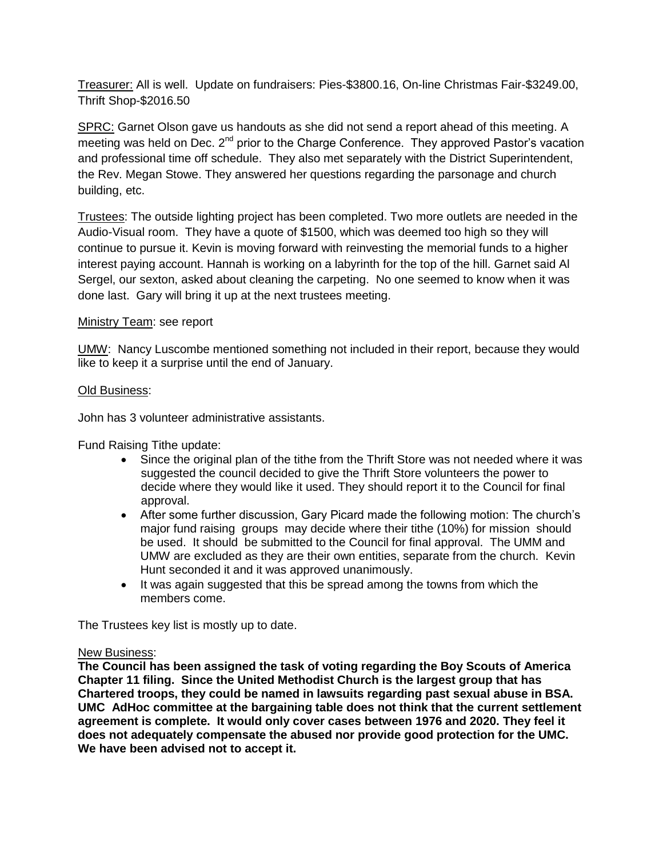Treasurer: All is well. Update on fundraisers: Pies-\$3800.16, On-line Christmas Fair-\$3249.00, Thrift Shop-\$2016.50

SPRC: Garnet Olson gave us handouts as she did not send a report ahead of this meeting. A meeting was held on Dec. 2<sup>nd</sup> prior to the Charge Conference. They approved Pastor's vacation and professional time off schedule. They also met separately with the District Superintendent, the Rev. Megan Stowe. They answered her questions regarding the parsonage and church building, etc.

Trustees: The outside lighting project has been completed. Two more outlets are needed in the Audio-Visual room. They have a quote of \$1500, which was deemed too high so they will continue to pursue it. Kevin is moving forward with reinvesting the memorial funds to a higher interest paying account. Hannah is working on a labyrinth for the top of the hill. Garnet said Al Sergel, our sexton, asked about cleaning the carpeting. No one seemed to know when it was done last. Gary will bring it up at the next trustees meeting.

# Ministry Team: see report

UMW: Nancy Luscombe mentioned something not included in their report, because they would like to keep it a surprise until the end of January.

# Old Business:

John has 3 volunteer administrative assistants.

Fund Raising Tithe update:

- Since the original plan of the tithe from the Thrift Store was not needed where it was suggested the council decided to give the Thrift Store volunteers the power to decide where they would like it used. They should report it to the Council for final approval.
- After some further discussion, Gary Picard made the following motion: The church's major fund raising groups may decide where their tithe (10%) for mission should be used. It should be submitted to the Council for final approval. The UMM and UMW are excluded as they are their own entities, separate from the church. Kevin Hunt seconded it and it was approved unanimously.
- It was again suggested that this be spread among the towns from which the members come.

The Trustees key list is mostly up to date.

#### New Business:

**The Council has been assigned the task of voting regarding the Boy Scouts of America Chapter 11 filing. Since the United Methodist Church is the largest group that has Chartered troops, they could be named in lawsuits regarding past sexual abuse in BSA. UMC AdHoc committee at the bargaining table does not think that the current settlement agreement is complete. It would only cover cases between 1976 and 2020. They feel it does not adequately compensate the abused nor provide good protection for the UMC. We have been advised not to accept it.**